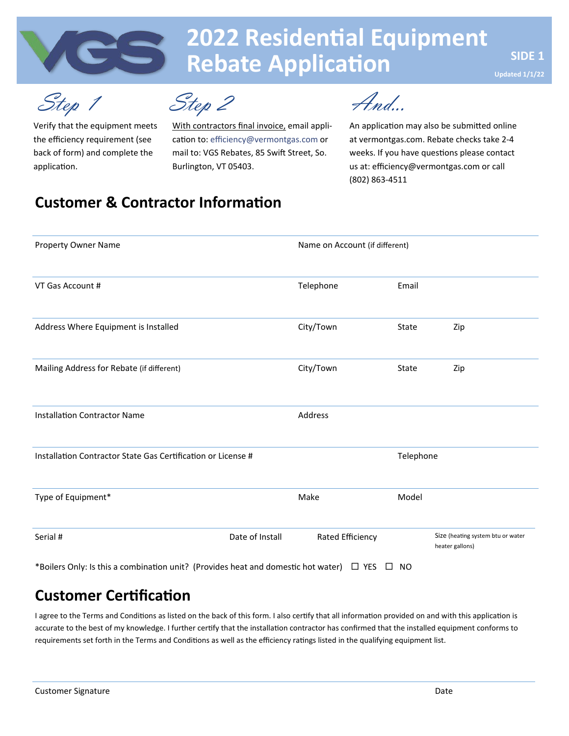

# **2022 Residential Equipment Rebate Application**

Step 1 Step 2

Verify that the equipment meets the efficiency requirement (see back of form) and complete the application.

With contractors final invoice, email application to: efficiency@vermontgas.com or mail to: VGS Rebates, 85 Swift Street, So. Burlington, VT 05403.

And...

An application may also be submitted online at vermontgas.com. Rebate checks take 2-4 weeks. If you have questions please contact us at: efficiency@vermontgas.com or call (802) 863-4511

### **Customer & Contractor Information**

| <b>Property Owner Name</b>                                   | Name on Account (if different) |                  |           |                                                      |
|--------------------------------------------------------------|--------------------------------|------------------|-----------|------------------------------------------------------|
| VT Gas Account #                                             |                                | Telephone        | Email     |                                                      |
| Address Where Equipment is Installed                         |                                | City/Town        | State     | Zip                                                  |
| Mailing Address for Rebate (if different)                    |                                | City/Town        | State     | Zip                                                  |
| <b>Installation Contractor Name</b>                          |                                | Address          |           |                                                      |
| Installation Contractor State Gas Certification or License # |                                |                  | Telephone |                                                      |
| Type of Equipment*                                           |                                | Make             | Model     |                                                      |
| Serial #                                                     | Date of Install                | Rated Efficiency |           | Size (heating system btu or water<br>heater gallons) |

### **Customer Certification**

I agree to the Terms and Conditions as listed on the back of this form. I also certify that all information provided on and with this application is accurate to the best of my knowledge. I further certify that the installation contractor has confirmed that the installed equipment conforms to requirements set forth in the Terms and Conditions as well as the efficiency ratings listed in the qualifying equipment list.